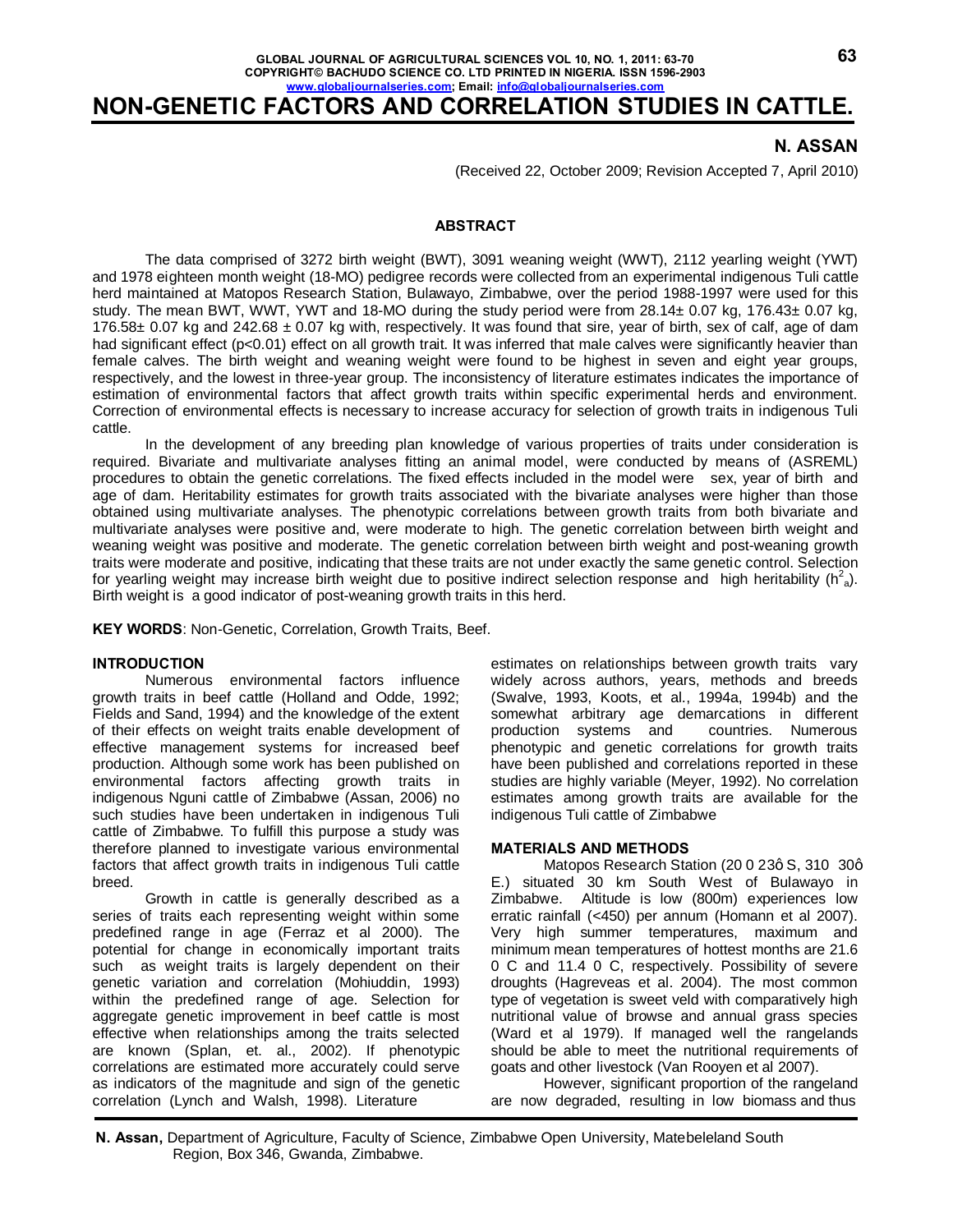# **NON-GENETIC FACTORS AND CORRELATION STUDIES IN CATTLE.**

# **N. ASSAN**

(Received 22, October 2009; Revision Accepted 7, April 2010)

### **ABSTRACT**

The data comprised of 3272 birth weight (BWT), 3091 weaning weight (WWT), 2112 yearling weight (YWT) and 1978 eighteen month weight (18-MO) pedigree records were collected from an experimental indigenous Tuli cattle herd maintained at Matopos Research Station, Bulawayo, Zimbabwe, over the period 1988-1997 were used for this study. The mean BWT, WWT, YWT and 18-MO during the study period were from  $28.14 \pm 0.07$  kg, 176.43 $\pm$  0.07 kg, 176.58 $\pm$  0.07 kg and 242.68  $\pm$  0.07 kg with, respectively. It was found that sire, year of birth, sex of calf, age of dam had significant effect (p<0.01) effect on all growth trait. It was inferred that male calves were significantly heavier than female calves. The birth weight and weaning weight were found to be highest in seven and eight year groups, respectively, and the lowest in three-year group. The inconsistency of literature estimates indicates the importance of estimation of environmental factors that affect growth traits within specific experimental herds and environment. Correction of environmental effects is necessary to increase accuracy for selection of growth traits in indigenous Tuli cattle.

In the development of any breeding plan knowledge of various properties of traits under consideration is required. Bivariate and multivariate analyses fitting an animal model, were conducted by means of (ASREML) procedures to obtain the genetic correlations. The fixed effects included in the model were sex, year of birth and age of dam. Heritability estimates for growth traits associated with the bivariate analyses were higher than those obtained using multivariate analyses. The phenotypic correlations between growth traits from both bivariate and multivariate analyses were positive and, were moderate to high. The genetic correlation between birth weight and weaning weight was positive and moderate. The genetic correlation between birth weight and post-weaning growth traits were moderate and positive, indicating that these traits are not under exactly the same genetic control. Selection for yearling weight may increase birth weight due to positive indirect selection response and high heritability ( $h^2$ <sub>a</sub>). Birth weight is a good indicator of post-weaning growth traits in this herd.

**KEY WORDS**: Non-Genetic, Correlation, Growth Traits, Beef.

### **INTRODUCTION**

Numerous environmental factors influence growth traits in beef cattle (Holland and Odde, 1992; Fields and Sand, 1994) and the knowledge of the extent of their effects on weight traits enable development of effective management systems for increased beef production. Although some work has been published on environmental factors affecting growth traits in indigenous Nguni cattle of Zimbabwe (Assan, 2006) no such studies have been undertaken in indigenous Tuli cattle of Zimbabwe. To fulfill this purpose a study was therefore planned to investigate various environmental factors that affect growth traits in indigenous Tuli cattle breed.

Growth in cattle is generally described as a series of traits each representing weight within some predefined range in age (Ferraz et al 2000). The potential for change in economically important traits such as weight traits is largely dependent on their genetic variation and correlation (Mohiuddin, 1993) within the predefined range of age. Selection for aggregate genetic improvement in beef cattle is most effective when relationships among the traits selected are known (Splan, et. al., 2002). If phenotypic correlations are estimated more accurately could serve as indicators of the magnitude and sign of the genetic correlation (Lynch and Walsh, 1998). Literature

estimates on relationships between growth traits vary widely across authors, years, methods and breeds (Swalve, 1993, Koots, et al., 1994a, 1994b) and the somewhat arbitrary age demarcations in different production systems and countries. Numerous phenotypic and genetic correlations for growth traits have been published and correlations reported in these studies are highly variable (Meyer, 1992). No correlation estimates among growth traits are available for the indigenous Tuli cattle of Zimbabwe

#### **MATERIALS AND METHODS**

Matopos Research Station (20 0 23q S, 310 30q E.) situated 30 km South West of Bulawayo in Zimbabwe. Altitude is low (800m) experiences low erratic rainfall (<450) per annum (Homann et al 2007). Very high summer temperatures, maximum and minimum mean temperatures of hottest months are 21.6 0 C and 11.4 0 C, respectively. Possibility of severe droughts (Hagreveas et al. 2004). The most common type of vegetation is sweet veld with comparatively high nutritional value of browse and annual grass species (Ward et al 1979). If managed well the rangelands should be able to meet the nutritional requirements of goats and other livestock (Van Rooyen et al 2007).

However, significant proportion of the rangeland are now degraded, resulting in low biomass and thus

**N. Assan,** Department of Agriculture, Faculty of Science, Zimbabwe Open University, Matebeleland South Region, Box 346, Gwanda, Zimbabwe.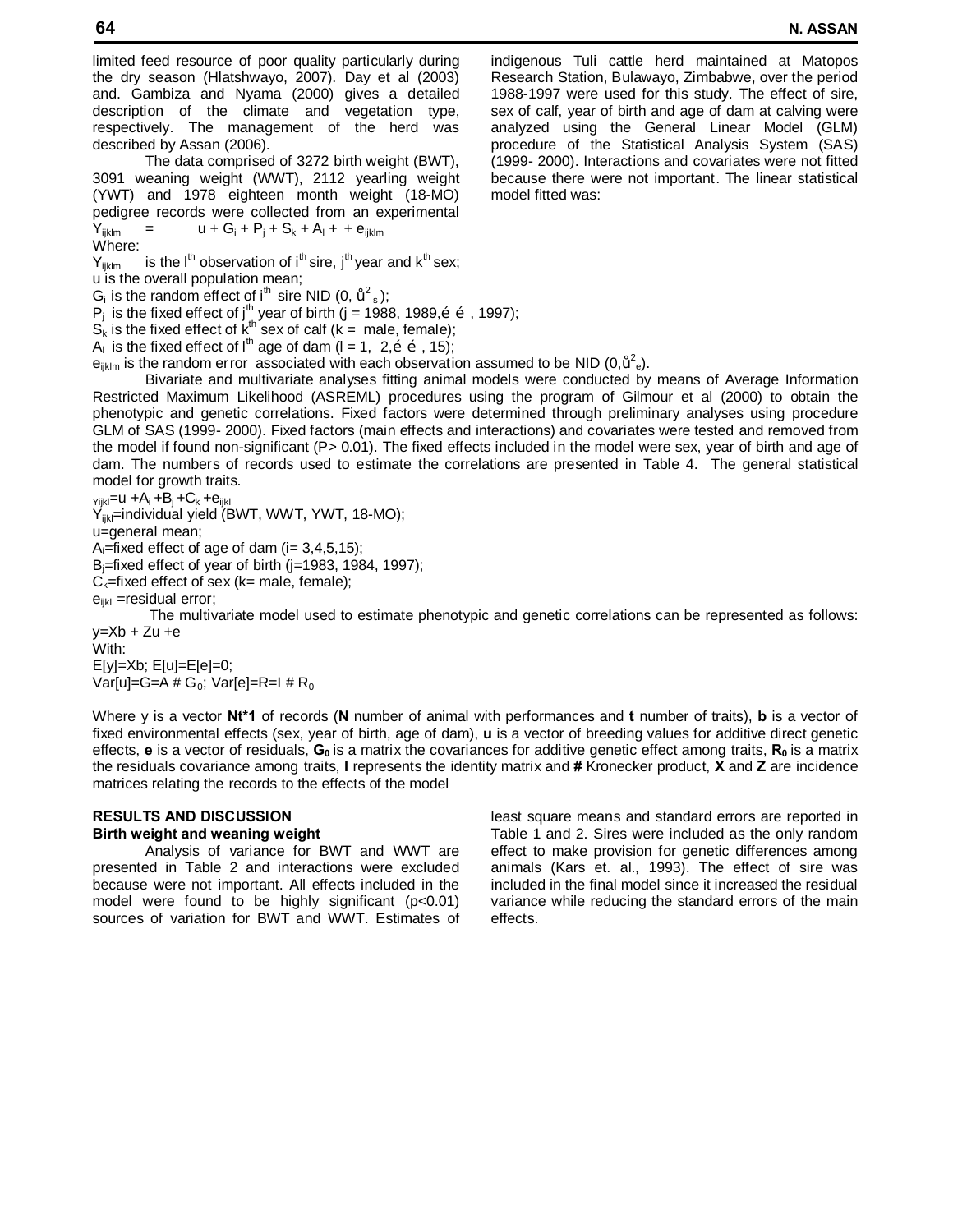limited feed resource of poor quality particularly during the dry season (Hlatshwayo, 2007). Day et al (2003) and. Gambiza and Nyama (2000) gives a detailed description of the climate and vegetation type, respectively. The management of the herd was described by Assan (2006).

The data comprised of 3272 birth weight (BWT), 3091 weaning weight (WWT), 2112 yearling weight (YWT) and 1978 eighteen month weight (18-MO) pedigree records were collected from an experimental  $Y_{iiklm} = u + G_i + P_i + S_k + A_l + + e_{iiklm}$ Where:

 $Y_{iiklm}$  is the l<sup>th</sup> observation of i<sup>th</sup> sire, j<sup>th</sup> year and k<sup>th</sup> sex;

u is the overall population mean;

 $G_i$  is the random effect of i<sup>th</sup> sire NID (0,  $^2$ <sub>s</sub>);

P<sub>j</sub> is the fixed effect of j<sup>th</sup> year of birth (j = 1988, 1989,õ õ , 1997);

 $S_k$  is the fixed effect of  $k^{\text{th}}$  sex of calf ( $k =$  male, female);

A<sub>l</sub> is the fixed effect of  $I<sup>th</sup>$  age of dam  $(I = 1, 2, \delta, \delta, 15)$ ;

 $e_{ijklm}$  is the random error associated with each observation assumed to be NID (0,  $\frac{2}{6}$ ).

Bivariate and multivariate analyses fitting animal models were conducted by means of Average Information Restricted Maximum Likelihood (ASREML) procedures using the program of Gilmour et al (2000) to obtain the phenotypic and genetic correlations. Fixed factors were determined through preliminary analyses using procedure GLM of SAS (1999- 2000). Fixed factors (main effects and interactions) and covariates were tested and removed from the model if found non-significant (P> 0.01). The fixed effects included in the model were sex, year of birth and age of dam. The numbers of records used to estimate the correlations are presented in Table 4. The general statistical model for growth traits.

 $_{Yiik}$ =u +A<sub>i</sub> +B<sub>i</sub> +C<sub>k</sub> +e<sub>iikl</sub>

Y<sub>iikl</sub>=individual yield (BWT, WWT, YWT, 18-MO);

u=general mean;

A<sub>i</sub>=fixed effect of age of dam ( $i= 3,4,5,15$ );

 $B_j$ =fixed effect of year of birth (j=1983, 1984, 1997);

 $C_k$ =fixed effect of sex ( $k=$  male, female);

 $e_{ijkl}$  =residual error;

The multivariate model used to estimate phenotypic and genetic correlations can be represented as follows:  $y=Xb + Zu + e$ 

With: E[y]=Xb; E[u]=E[e]=0; Var[u]=G=A #  $G_0$ ; Var[e]=R=I #  $R_0$ 

Where y is a vector **Nt\*1** of records (**N** number of animal with performances and **t** number of traits), **b** is a vector of fixed environmental effects (sex, year of birth, age of dam), **u** is a vector of breeding values for additive direct genetic effects, **e** is a vector of residuals, G<sub>0</sub> is a matrix the covariances for additive genetic effect among traits, R<sub>0</sub> is a matrix the residuals covariance among traits, **I** represents the identity matrix and **#** Kronecker product, **X** and **Z** are incidence matrices relating the records to the effects of the model

#### **RESULTS AND DISCUSSION Birth weight and weaning weight**

Analysis of variance for BWT and WWT are presented in Table 2 and interactions were excluded because were not important. All effects included in the model were found to be highly significant (p<0.01) sources of variation for BWT and WWT. Estimates of least square means and standard errors are reported in Table 1 and 2. Sires were included as the only random effect to make provision for genetic differences among animals (Kars et. al., 1993). The effect of sire was included in the final model since it increased the residual variance while reducing the standard errors of the main effects.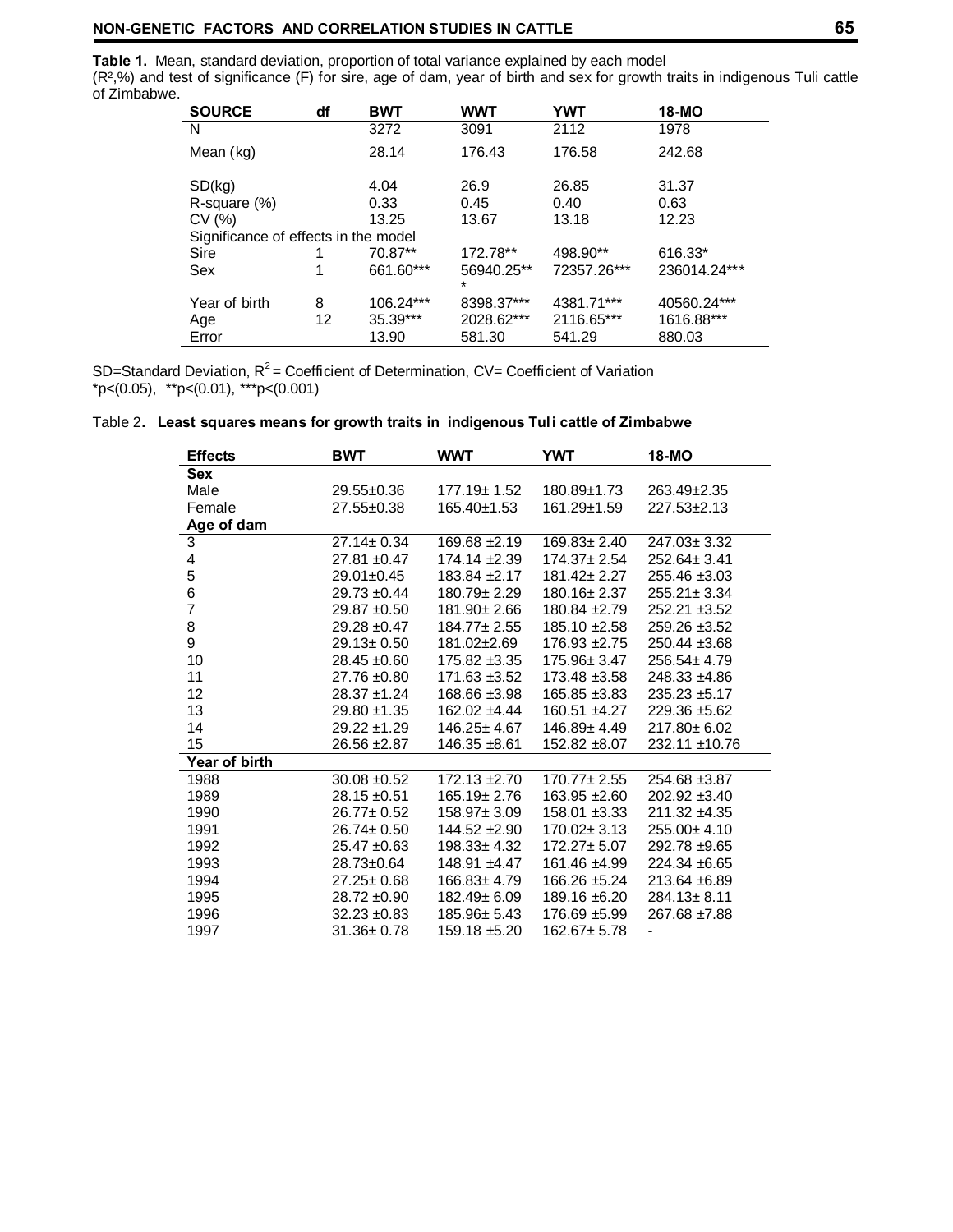# **NON-GENETIC FACTORS AND CORRELATION STUDIES IN CATTLE 65**

**Table 1.** Mean, standard deviation, proportion of total variance explained by each model (R²,%) and test of significance (F) for sire, age of dam, year of birth and sex for growth traits in indigenous Tuli cattle of Zimbabwe.

| <b>SOURCE</b>                        | df | <b>BWT</b> | WWT        | <b>YWT</b>  | <b>18-MO</b> |
|--------------------------------------|----|------------|------------|-------------|--------------|
| N                                    |    | 3272       | 3091       | 2112        | 1978         |
| Mean (kg)                            |    | 28.14      | 176.43     | 176.58      | 242.68       |
| SD(kg)                               |    | 4.04       | 26.9       | 26.85       | 31.37        |
| R-square (%)                         |    | 0.33       | 0.45       | 0.40        | 0.63         |
| CV(%)                                |    | 13.25      | 13.67      | 13.18       | 12.23        |
| Significance of effects in the model |    |            |            |             |              |
| Sire                                 |    | 70.87**    | 172.78**   | 498.90**    | 616.33*      |
| Sex                                  |    | 661.60***  | 56940.25** | 72357.26*** | 236014.24*** |
|                                      |    |            | $\star$    |             |              |
| Year of birth                        | 8  | 106.24***  | 8398.37*** | 4381.71***  | 40560.24***  |
| Age                                  | 12 | 35.39***   | 2028.62*** | 2116.65***  | 1616.88***   |
| Error                                |    | 13.90      | 581.30     | 541.29      | 880.03       |

SD=Standard Deviation,  $R^2$  = Coefficient of Determination, CV= Coefficient of Variation \*p<(0.05), \*\*p<(0.01), \*\*\*p<(0.001)

| <b>Effects</b> | <b>BWT</b>       | <b>WWT</b>        | <b>YWT</b>        | 18-MO             |
|----------------|------------------|-------------------|-------------------|-------------------|
| <b>Sex</b>     |                  |                   |                   |                   |
| Male           | $29.55 \pm 0.36$ | $177.19 \pm 1.52$ | 180.89±1.73       | 263.49±2.35       |
| Female         | 27.55±0.38       | 165.40±1.53       | 161.29±1.59       | 227.53±2.13       |
| Age of dam     |                  |                   |                   |                   |
| 3              | $27.14 \pm 0.34$ | 169.68 ± 2.19     | 169.83± 2.40      | 247.03±3.32       |
| 4              | $27.81 \pm 0.47$ | 174.14 ±2.39      | $174.37 \pm 2.54$ | $252.64 \pm 3.41$ |
| 5              | 29.01±0.45       | 183.84 ± 2.17     | $181.42 \pm 2.27$ | 255.46 ±3.03      |
| 6              | 29.73 ±0.44      | 180.79± 2.29      | $180.16 \pm 2.37$ | $255.21 \pm 3.34$ |
| $\overline{7}$ | $29.87 + 0.50$   | $181.90 \pm 2.66$ | 180.84 ± 2.79     | 252.21 ±3.52      |
| $\bf8$         | 29.28 ±0.47      | $184.77 \pm 2.55$ | 185.10 ±2.58      | 259.26 ±3.52      |
| 9              | $29.13 \pm 0.50$ | 181.02±2.69       | 176.93 ±2.75      | 250.44 ±3.68      |
| 10             | $28.45 + 0.60$   | $175.82 \pm 3.35$ | 175.96± 3.47      | $256.54 \pm 4.79$ |
| 11             | $27.76 \pm 0.80$ | 171.63 ±3.52      | 173.48 ± 3.58     | 248.33 ±4.86      |
| 12             | $28.37 + 1.24$   | 168.66 ±3.98      | 165.85 ±3.83      | $235.23 + 5.17$   |
| 13             | 29.80 ±1.35      | 162.02 ±4.44      | 160.51 ±4.27      | 229.36 ±5.62      |
| 14             | 29.22 ±1.29      | $146.25 \pm 4.67$ | 146.89±4.49       | 217.80±6.02       |
| 15             | 26.56 ±2.87      | 146.35 ±8.61      | 152.82 ±8.07      | 232.11 ±10.76     |
| Year of birth  |                  |                   |                   |                   |
| 1988           | $30.08 + 0.52$   | $172.13 + 2.70$   | $170.77 \pm 2.55$ | 254.68 ±3.87      |
| 1989           | $28.15 \pm 0.51$ | $165.19 \pm 2.76$ | 163.95 ±2.60      | 202.92 ±3.40      |
| 1990           | $26.77 \pm 0.52$ | $158.97 \pm 3.09$ | 158.01 ±3.33      | $211.32 + 4.35$   |
| 1991           | 26.74± 0.50      | $144.52 + 2.90$   | $170.02 \pm 3.13$ | 255.00±4.10       |
| 1992           | $25.47 \pm 0.63$ | $198.33 \pm 4.32$ | $172.27 \pm 5.07$ | 292.78 ±9.65      |
| 1993           | 28.73±0.64       | 148.91 ±4.47      | 161.46 ±4.99      | 224.34 ±6.65      |
| 1994           | $27.25 \pm 0.68$ | $166.83 \pm 4.79$ | 166.26 ±5.24      | 213.64 ±6.89      |
| 1995           | 28.72 ±0.90      | 182.49±6.09       | 189.16 ±6.20      | $284.13 \pm 8.11$ |
| 1996           | $32.23 + 0.83$   | $185.96 \pm 5.43$ | $176.69 + 5.99$   | 267.68 ±7.88      |
| 1997           | $31.36 \pm 0.78$ | 159.18 ±5.20      | 162.67± 5.78      |                   |

# Table 2**. Least squares means for growth traits in indigenous Tuli cattle of Zimbabwe**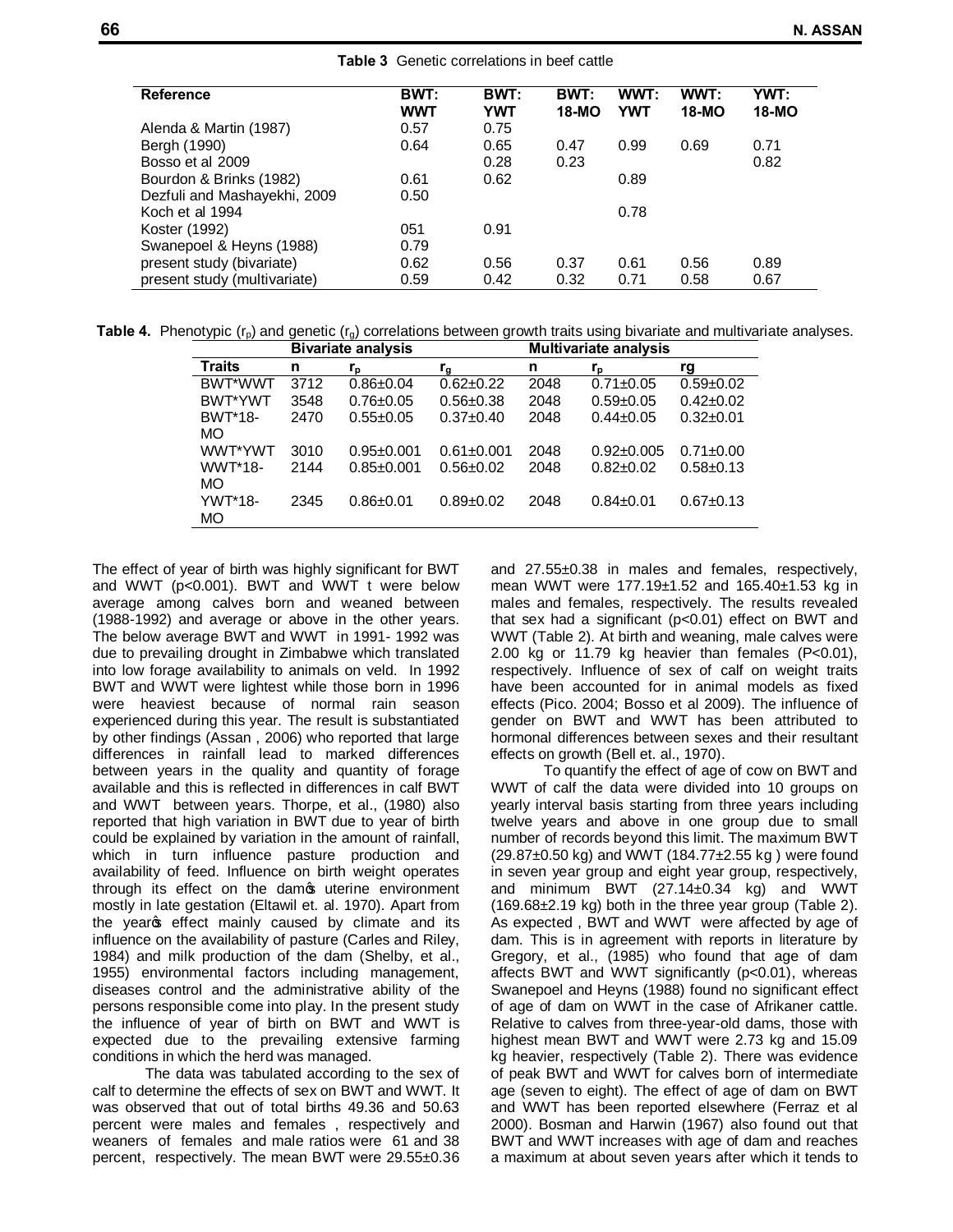### **Table 3** Genetic correlations in beef cattle

| <b>Reference</b>             | <b>BWT:</b> | <b>BWT:</b> | <b>BWT:</b> | <b>WWT:</b> | WWT:         | YWT:         |
|------------------------------|-------------|-------------|-------------|-------------|--------------|--------------|
|                              | <b>WWT</b>  | <b>YWT</b>  | $18-MO$     | <b>YWT</b>  | <b>18-MO</b> | <b>18-MO</b> |
| Alenda & Martin (1987)       | 0.57        | 0.75        |             |             |              |              |
| Bergh (1990)                 | 0.64        | 0.65        | 0.47        | 0.99        | 0.69         | 0.71         |
| Bosso et al 2009             |             | 0.28        | 0.23        |             |              | 0.82         |
| Bourdon & Brinks (1982)      | 0.61        | 0.62        |             | 0.89        |              |              |
| Dezfuli and Mashayekhi, 2009 | 0.50        |             |             |             |              |              |
| Koch et al 1994              |             |             |             | 0.78        |              |              |
| Koster (1992)                | 051         | 0.91        |             |             |              |              |
| Swanepoel & Heyns (1988)     | 0.79        |             |             |             |              |              |
| present study (bivariate)    | 0.62        | 0.56        | 0.37        | 0.61        | 0.56         | 0.89         |
| present study (multivariate) | 0.59        | 0.42        | 0.32        | 0.71        | 0.58         | 0.67         |

|  |  |  |  |  |  | Table 4. Phenotypic $(r_p)$ and genetic $(r_g)$ correlations between growth traits using bivariate and multivariate analyses. |
|--|--|--|--|--|--|-------------------------------------------------------------------------------------------------------------------------------|
|--|--|--|--|--|--|-------------------------------------------------------------------------------------------------------------------------------|

|                |      | <b>Bivariate analysis</b> |                  | <b>Multivariate analysis</b> |                  |                 |  |
|----------------|------|---------------------------|------------------|------------------------------|------------------|-----------------|--|
| <b>Traits</b>  | n    | $r_{p}$                   | ra               | n                            | $r_{p}$          | rg              |  |
| BWT*WWT        | 3712 | $0.86 \pm 0.04$           | $0.62 \pm 0.22$  | 2048                         | $0.71 \pm 0.05$  | $0.59 + 0.02$   |  |
| BWT*YWT        | 3548 | $0.76 \pm 0.05$           | $0.56 + 0.38$    | 2048                         | $0.59 + 0.05$    | $0.42 \pm 0.02$ |  |
| <b>BWT*18-</b> | 2470 | $0.55 \pm 0.05$           | $0.37+0.40$      | 2048                         | $0.44 \pm 0.05$  | $0.32 + 0.01$   |  |
| <b>MO</b>      |      |                           |                  |                              |                  |                 |  |
| WWT*YWT        | 3010 | $0.95 \pm 0.001$          | $0.61 \pm 0.001$ | 2048                         | $0.92 \pm 0.005$ | $0.71 \pm 0.00$ |  |
| WWT*18-        | 2144 | $0.85 \pm 0.001$          | $0.56 \pm 0.02$  | 2048                         | $0.82 + 0.02$    | $0.58 + 0.13$   |  |
| <b>MO</b>      |      |                           |                  |                              |                  |                 |  |
| <b>YWT*18-</b> | 2345 | $0.86 + 0.01$             | $0.89 + 0.02$    | 2048                         | $0.84 + 0.01$    | $0.67 + 0.13$   |  |
| <b>MO</b>      |      |                           |                  |                              |                  |                 |  |
|                |      |                           |                  |                              |                  |                 |  |

The effect of year of birth was highly significant for BWT and WWT (p<0.001). BWT and WWT t were below average among calves born and weaned between (1988-1992) and average or above in the other years. The below average BWT and WWT in 1991- 1992 was due to prevailing drought in Zimbabwe which translated into low forage availability to animals on veld. In 1992 BWT and WWT were lightest while those born in 1996 were heaviest because of normal rain season experienced during this year. The result is substantiated by other findings (Assan , 2006) who reported that large differences in rainfall lead to marked differences between years in the quality and quantity of forage available and this is reflected in differences in calf BWT and WWT between years. Thorpe, et al., (1980) also reported that high variation in BWT due to year of birth could be explained by variation in the amount of rainfall, which in turn influence pasture production and availability of feed. Influence on birth weight operates through its effect on the damos uterine environment mostly in late gestation (Eltawil et. al. 1970). Apart from the year of effect mainly caused by climate and its influence on the availability of pasture (Carles and Riley, 1984) and milk production of the dam (Shelby, et al., 1955) environmental factors including management, diseases control and the administrative ability of the persons responsible come into play. In the present study the influence of year of birth on BWT and WWT is expected due to the prevailing extensive farming conditions in which the herd was managed.

The data was tabulated according to the sex of calf to determine the effects of sex on BWT and WWT. It was observed that out of total births 49.36 and 50.63 percent were males and females , respectively and weaners of females and male ratios were 61 and 38 percent, respectively. The mean BWT were 29.55±0.36 and 27.55±0.38 in males and females, respectively, mean WWT were 177.19±1.52 and 165.40±1.53 kg in males and females, respectively. The results revealed that sex had a significant (p<0.01) effect on BWT and WWT (Table 2). At birth and weaning, male calves were 2.00 kg or 11.79 kg heavier than females (P<0.01), respectively. Influence of sex of calf on weight traits have been accounted for in animal models as fixed effects (Pico. 2004; Bosso et al 2009). The influence of gender on BWT and WWT has been attributed to hormonal differences between sexes and their resultant effects on growth (Bell et. al., 1970).

To quantify the effect of age of cow on BWT and WWT of calf the data were divided into 10 groups on yearly interval basis starting from three years including twelve years and above in one group due to small number of records beyond this limit. The maximum BWT (29.87±0.50 kg) and WWT (184.77±2.55 kg ) were found in seven year group and eight year group, respectively, and minimum BWT  $(27.14\pm0.34 \text{ kg})$  and WWT  $(169.68\pm2.19 \text{ kg})$  both in the three year group (Table 2). As expected , BWT and WWT were affected by age of dam. This is in agreement with reports in literature by Gregory, et al., (1985) who found that age of dam affects BWT and WWT significantly (p<0.01), whereas Swanepoel and Heyns (1988) found no significant effect of age of dam on WWT in the case of Afrikaner cattle. Relative to calves from three-year-old dams, those with highest mean BWT and WWT were 2.73 kg and 15.09 kg heavier, respectively (Table 2). There was evidence of peak BWT and WWT for calves born of intermediate age (seven to eight). The effect of age of dam on BWT and WWT has been reported elsewhere (Ferraz et al 2000). Bosman and Harwin (1967) also found out that BWT and WWT increases with age of dam and reaches a maximum at about seven years after which it tends to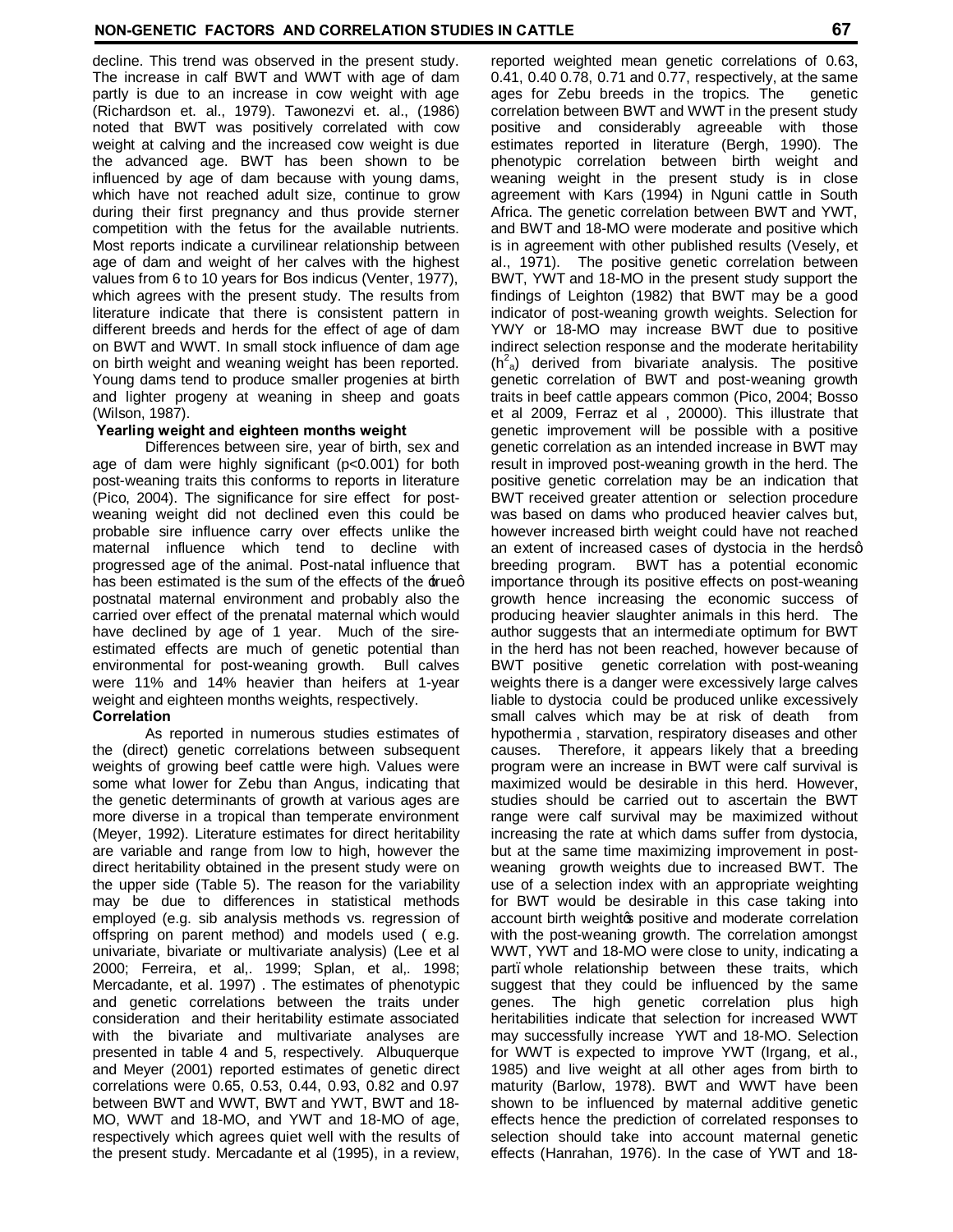decline. This trend was observed in the present study. The increase in calf BWT and WWT with age of dam partly is due to an increase in cow weight with age (Richardson et. al., 1979). Tawonezvi et. al., (1986) noted that BWT was positively correlated with cow weight at calving and the increased cow weight is due the advanced age. BWT has been shown to be influenced by age of dam because with young dams, which have not reached adult size, continue to grow during their first pregnancy and thus provide sterner competition with the fetus for the available nutrients. Most reports indicate a curvilinear relationship between age of dam and weight of her calves with the highest values from 6 to 10 years for Bos indicus (Venter, 1977), which agrees with the present study. The results from literature indicate that there is consistent pattern in different breeds and herds for the effect of age of dam on BWT and WWT. In small stock influence of dam age on birth weight and weaning weight has been reported. Young dams tend to produce smaller progenies at birth and lighter progeny at weaning in sheep and goats (Wilson, 1987).

# **Yearling weight and eighteen months weight**

Differences between sire, year of birth, sex and age of dam were highly significant (p<0.001) for both post-weaning traits this conforms to reports in literature (Pico, 2004). The significance for sire effect for postweaning weight did not declined even this could be probable sire influence carry over effects unlike the maternal influence which tend to decline with progressed age of the animal. Post-natal influence that has been estimated is the sum of the effects of the  $\pm$ rueg postnatal maternal environment and probably also the carried over effect of the prenatal maternal which would have declined by age of 1 year. Much of the sireestimated effects are much of genetic potential than environmental for post-weaning growth. Bull calves were 11% and 14% heavier than heifers at 1-year weight and eighteen months weights, respectively. **Correlation** 

As reported in numerous studies estimates of the (direct) genetic correlations between subsequent weights of growing beef cattle were high. Values were some what lower for Zebu than Angus, indicating that the genetic determinants of growth at various ages are more diverse in a tropical than temperate environment (Meyer, 1992). Literature estimates for direct heritability are variable and range from low to high, however the direct heritability obtained in the present study were on the upper side (Table 5). The reason for the variability may be due to differences in statistical methods employed (e.g. sib analysis methods vs. regression of offspring on parent method) and models used ( e.g. univariate, bivariate or multivariate analysis) (Lee et al 2000; Ferreira, et al,. 1999; Splan, et al,. 1998; Mercadante, et al. 1997) . The estimates of phenotypic and genetic correlations between the traits under consideration and their heritability estimate associated with the bivariate and multivariate analyses are presented in table 4 and 5, respectively. Albuquerque and Meyer (2001) reported estimates of genetic direct correlations were 0.65, 0.53, 0.44, 0.93, 0.82 and 0.97 between BWT and WWT, BWT and YWT, BWT and 18- MO, WWT and 18-MO, and YWT and 18-MO of age, respectively which agrees quiet well with the results of the present study. Mercadante et al (1995), in a review,

reported weighted mean genetic correlations of 0.63, 0.41, 0.40 0.78, 0.71 and 0.77, respectively, at the same ages for Zebu breeds in the tropics. The genetic correlation between BWT and WWT in the present study positive and considerably agreeable with those estimates reported in literature (Bergh, 1990). The phenotypic correlation between birth weight and weaning weight in the present study is in close agreement with Kars (1994) in Nguni cattle in South Africa. The genetic correlation between BWT and YWT, and BWT and 18-MO were moderate and positive which is in agreement with other published results (Vesely, et al., 1971). The positive genetic correlation between BWT, YWT and 18-MO in the present study support the findings of Leighton (1982) that BWT may be a good indicator of post-weaning growth weights. Selection for YWY or 18-MO may increase BWT due to positive indirect selection response and the moderate heritability  $(h<sup>2</sup><sub>a</sub>)$  derived from bivariate analysis. The positive genetic correlation of BWT and post-weaning growth traits in beef cattle appears common (Pico, 2004; Bosso et al 2009, Ferraz et al , 20000). This illustrate that genetic improvement will be possible with a positive genetic correlation as an intended increase in BWT may result in improved post-weaning growth in the herd. The positive genetic correlation may be an indication that BWT received greater attention or selection procedure was based on dams who produced heavier calves but, however increased birth weight could have not reached an extent of increased cases of dystocia in the herdsq breeding program. BWT has a potential economic importance through its positive effects on post-weaning growth hence increasing the economic success of producing heavier slaughter animals in this herd. The author suggests that an intermediate optimum for BWT in the herd has not been reached, however because of BWT positive genetic correlation with post-weaning weights there is a danger were excessively large calves liable to dystocia could be produced unlike excessively small calves which may be at risk of death from hypothermia , starvation, respiratory diseases and other causes. Therefore, it appears likely that a breeding program were an increase in BWT were calf survival is maximized would be desirable in this herd. However, studies should be carried out to ascertain the BWT range were calf survival may be maximized without increasing the rate at which dams suffer from dystocia, but at the same time maximizing improvement in postweaning growth weights due to increased BWT. The use of a selection index with an appropriate weighting for BWT would be desirable in this case taking into account birth weight to positive and moderate correlation with the post-weaning growth. The correlation amongst WWT, YWT and 18-MO were close to unity, indicating a part whole relationship between these traits, which suggest that they could be influenced by the same genes. The high genetic correlation plus high heritabilities indicate that selection for increased WWT may successfully increase YWT and 18-MO. Selection for WWT is expected to improve YWT (Irgang, et al., 1985) and live weight at all other ages from birth to maturity (Barlow, 1978). BWT and WWT have been shown to be influenced by maternal additive genetic effects hence the prediction of correlated responses to selection should take into account maternal genetic effects (Hanrahan, 1976). In the case of YWT and 18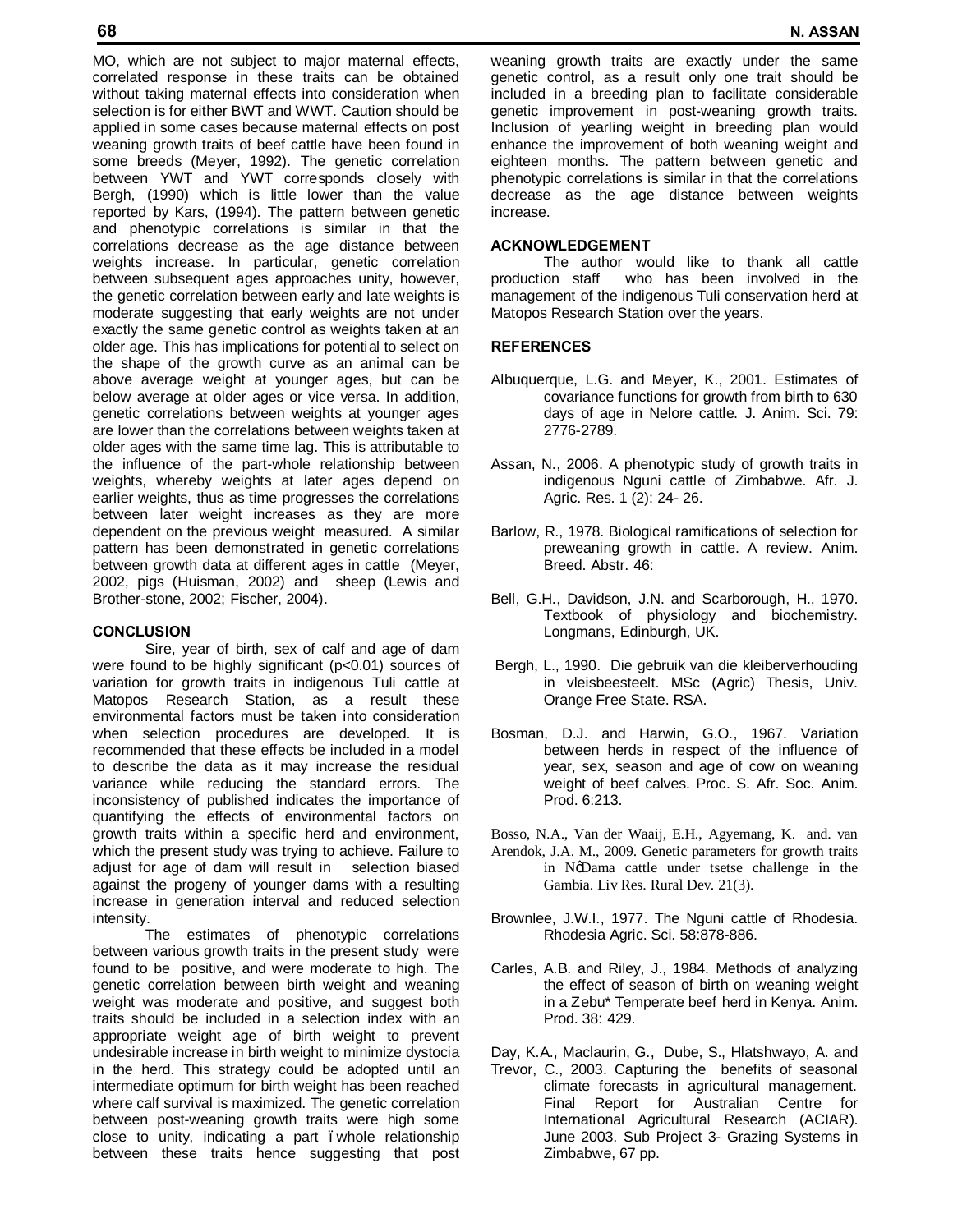MO, which are not subject to major maternal effects, correlated response in these traits can be obtained without taking maternal effects into consideration when selection is for either BWT and WWT. Caution should be applied in some cases because maternal effects on post weaning growth traits of beef cattle have been found in some breeds (Meyer, 1992). The genetic correlation between YWT and YWT corresponds closely with Bergh, (1990) which is little lower than the value reported by Kars, (1994). The pattern between genetic and phenotypic correlations is similar in that the correlations decrease as the age distance between weights increase. In particular, genetic correlation between subsequent ages approaches unity, however, the genetic correlation between early and late weights is moderate suggesting that early weights are not under exactly the same genetic control as weights taken at an older age. This has implications for potential to select on the shape of the growth curve as an animal can be above average weight at younger ages, but can be below average at older ages or vice versa. In addition, genetic correlations between weights at younger ages are lower than the correlations between weights taken at older ages with the same time lag. This is attributable to the influence of the part-whole relationship between weights, whereby weights at later ages depend on earlier weights, thus as time progresses the correlations between later weight increases as they are more dependent on the previous weight measured. A similar pattern has been demonstrated in genetic correlations between growth data at different ages in cattle (Meyer, 2002, pigs (Huisman, 2002) and sheep (Lewis and Brother-stone, 2002; Fischer, 2004).

### **CONCLUSION**

Sire, year of birth, sex of calf and age of dam were found to be highly significant (p<0.01) sources of variation for growth traits in indigenous Tuli cattle at Matopos Research Station, as a result these environmental factors must be taken into consideration when selection procedures are developed. It is recommended that these effects be included in a model to describe the data as it may increase the residual variance while reducing the standard errors. The inconsistency of published indicates the importance of quantifying the effects of environmental factors on growth traits within a specific herd and environment, which the present study was trying to achieve. Failure to adjust for age of dam will result in selection biased against the progeny of younger dams with a resulting increase in generation interval and reduced selection intensity.

The estimates of phenotypic correlations between various growth traits in the present study were found to be positive, and were moderate to high. The genetic correlation between birth weight and weaning weight was moderate and positive, and suggest both traits should be included in a selection index with an appropriate weight age of birth weight to prevent undesirable increase in birth weight to minimize dystocia in the herd. This strategy could be adopted until an intermediate optimum for birth weight has been reached where calf survival is maximized. The genetic correlation between post-weaning growth traits were high some close to unity, indicating a part . whole relationship between these traits hence suggesting that post

weaning growth traits are exactly under the same genetic control, as a result only one trait should be included in a breeding plan to facilitate considerable genetic improvement in post-weaning growth traits. Inclusion of yearling weight in breeding plan would enhance the improvement of both weaning weight and eighteen months. The pattern between genetic and phenotypic correlations is similar in that the correlations decrease as the age distance between weights increase.

### **ACKNOWLEDGEMENT**

The author would like to thank all cattle production staff who has been involved in the management of the indigenous Tuli conservation herd at Matopos Research Station over the years.

# **REFERENCES**

- Albuquerque, L.G. and Meyer, K., 2001. Estimates of covariance functions for growth from birth to 630 days of age in Nelore cattle. J. Anim. Sci. 79: 2776-2789.
- Assan, N., 2006. A phenotypic study of growth traits in indigenous Nguni cattle of Zimbabwe. Afr. J. Agric. Res. 1 (2): 24- 26.
- Barlow, R., 1978. Biological ramifications of selection for preweaning growth in cattle. A review. Anim. Breed. Abstr. 46:
- Bell, G.H., Davidson, J.N. and Scarborough, H., 1970. Textbook of physiology and biochemistry. Longmans, Edinburgh, UK.
- Bergh, L., 1990. Die gebruik van die kleiberverhouding in vleisbeesteelt. MSc (Agric) Thesis, Univ. Orange Free State. RSA.
- Bosman, D.J. and Harwin, G.O., 1967. Variation between herds in respect of the influence of year, sex, season and age of cow on weaning weight of beef calves. Proc. S. Afr. Soc. Anim. Prod. 6:213.
- Bosso, N.A., Van der Waaij, E.H., Agyemang, K. and. van
- Arendok, J.A. M., 2009. Genetic parameters for growth traits in NøDama cattle under tsetse challenge in the Gambia. Liv Res. Rural Dev. 21(3).
- Brownlee, J.W.I., 1977. The Nguni cattle of Rhodesia. Rhodesia Agric. Sci. 58:878-886.
- Carles, A.B. and Riley, J., 1984. Methods of analyzing the effect of season of birth on weaning weight in a Zebu\* Temperate beef herd in Kenya. Anim. Prod. 38: 429.
- Day, K.A., Maclaurin, G., Dube, S., Hlatshwayo, A. and Trevor, C., 2003. Capturing the benefits of seasonal climate forecasts in agricultural management. Final Report for Australian Centre for International Agricultural Research (ACIAR). June 2003. Sub Project 3- Grazing Systems in Zimbabwe, 67 pp.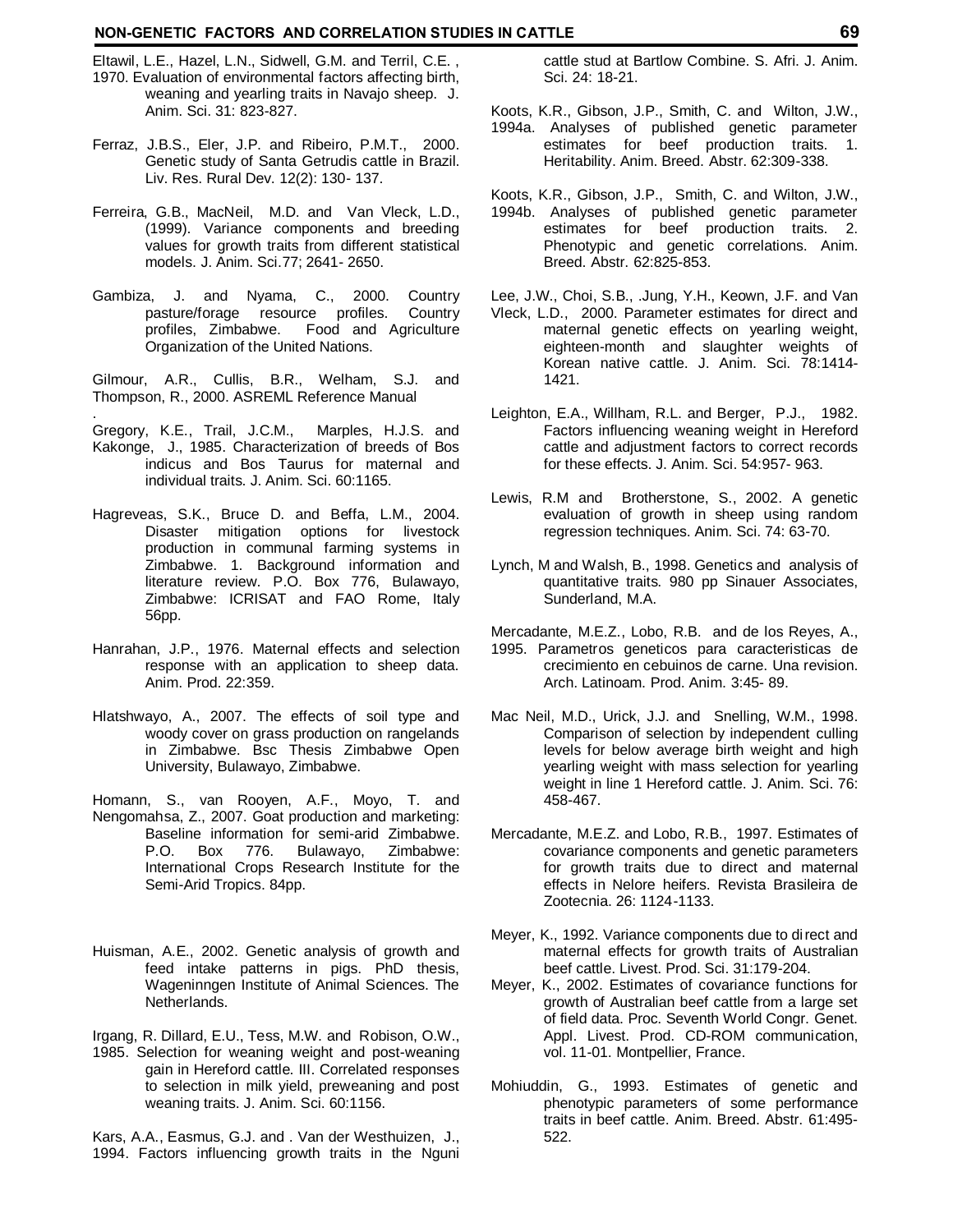Eltawil, L.E., Hazel, L.N., Sidwell, G.M. and Terril, C.E. , 1970. Evaluation of environmental factors affecting birth, weaning and yearling traits in Navajo sheep. J.

Anim. Sci. 31: 823-827.

- Ferraz, J.B.S., Eler, J.P. and Ribeiro, P.M.T., 2000. Genetic study of Santa Getrudis cattle in Brazil. Liv. Res. Rural Dev. 12(2): 130- 137.
- Ferreira, G.B., MacNeil, M.D. and Van Vleck, L.D., (1999). Variance components and breeding values for growth traits from different statistical models. J. Anim. Sci.77; 2641- 2650.
- Gambiza, J. and Nyama, C., 2000. Country pasture/forage resource profiles. Country profiles, Zimbabwe. Food and Agriculture Organization of the United Nations.

Gilmour, A.R., Cullis, B.R., Welham, S.J. and Thompson, R., 2000. ASREML Reference Manual

.

- Gregory, K.E., Trail, J.C.M., Marples, H.J.S. and Kakonge, J., 1985. Characterization of breeds of Bos indicus and Bos Taurus for maternal and individual traits. J. Anim. Sci. 60:1165.
- Hagreveas, S.K., Bruce D. and Beffa, L.M., 2004. Disaster mitigation options for livestock production in communal farming systems in Zimbabwe. 1. Background information and literature review. P.O. Box 776, Bulawayo, Zimbabwe: ICRISAT and FAO Rome, Italy 56pp.
- Hanrahan, J.P., 1976. Maternal effects and selection response with an application to sheep data. Anim. Prod. 22:359.
- Hlatshwayo, A., 2007. The effects of soil type and woody cover on grass production on rangelands in Zimbabwe. Bsc Thesis Zimbabwe Open University, Bulawayo, Zimbabwe.
- Homann, S., van Rooyen, A.F., Moyo, T. and Nengomahsa, Z., 2007. Goat production and marketing: Baseline information for semi-arid Zimbabwe. P.O. Box 776. Bulawayo, Zimbabwe: International Crops Research Institute for the Semi-Arid Tropics. 84pp.
- Huisman, A.E., 2002. Genetic analysis of growth and feed intake patterns in pigs. PhD thesis, Wageninngen Institute of Animal Sciences. The Netherlands.

Irgang, R. Dillard, E.U., Tess, M.W. and Robison, O.W.,

1985. Selection for weaning weight and post-weaning gain in Hereford cattle. III. Correlated responses to selection in milk yield, preweaning and post weaning traits. J. Anim. Sci. 60:1156.

Kars, A.A., Easmus, G.J. and . Van der Westhuizen, J., 1994. Factors influencing growth traits in the Nguni cattle stud at Bartlow Combine. S. Afri. J. Anim. Sci. 24: 18-21.

Koots, K.R., Gibson, J.P., Smith, C. and Wilton, J.W., 1994a. Analyses of published genetic parameter estimates for beef production traits. 1. Heritability. Anim. Breed. Abstr. 62:309-338.

Koots, K.R., Gibson, J.P., Smith, C. and Wilton, J.W.,

1994b. Analyses of published genetic parameter estimates for beef production traits. 2. Phenotypic and genetic correlations. Anim. Breed. Abstr. 62:825-853.

Lee, J.W., Choi, S.B., .Jung, Y.H., Keown, J.F. and Van

- Vleck, L.D., 2000. Parameter estimates for direct and maternal genetic effects on yearling weight, eighteen-month and slaughter weights of Korean native cattle. J. Anim. Sci. 78:1414- 1421.
- Leighton, E.A., Willham, R.L. and Berger, P.J., 1982. Factors influencing weaning weight in Hereford cattle and adjustment factors to correct records for these effects. J. Anim. Sci. 54:957- 963.
- Lewis, R.M and Brotherstone, S., 2002. A genetic evaluation of growth in sheep using random regression techniques. Anim. Sci. 74: 63-70.
- Lynch, M and Walsh, B., 1998. Genetics and analysis of quantitative traits. 980 pp Sinauer Associates, Sunderland, M.A.

Mercadante, M.E.Z., Lobo, R.B. and de los Reyes, A.,

- 1995. Parametros geneticos para caracteristicas de crecimiento en cebuinos de carne. Una revision. Arch. Latinoam. Prod. Anim. 3:45- 89.
- Mac Neil, M.D., Urick, J.J. and Snelling, W.M., 1998. Comparison of selection by independent culling levels for below average birth weight and high yearling weight with mass selection for yearling weight in line 1 Hereford cattle. J. Anim. Sci. 76: 458-467.
- Mercadante, M.E.Z. and Lobo, R.B., 1997. Estimates of covariance components and genetic parameters for growth traits due to direct and maternal effects in Nelore heifers. Revista Brasileira de Zootecnia. 26: 1124-1133.
- Meyer, K., 1992. Variance components due to direct and maternal effects for growth traits of Australian beef cattle. Livest. Prod. Sci. 31:179-204.
- Meyer, K., 2002. Estimates of covariance functions for growth of Australian beef cattle from a large set of field data. Proc. Seventh World Congr. Genet. Appl. Livest. Prod. CD-ROM communication, vol. 11-01. Montpellier, France.
- Mohiuddin, G., 1993. Estimates of genetic and phenotypic parameters of some performance traits in beef cattle. Anim. Breed. Abstr. 61:495- 522.